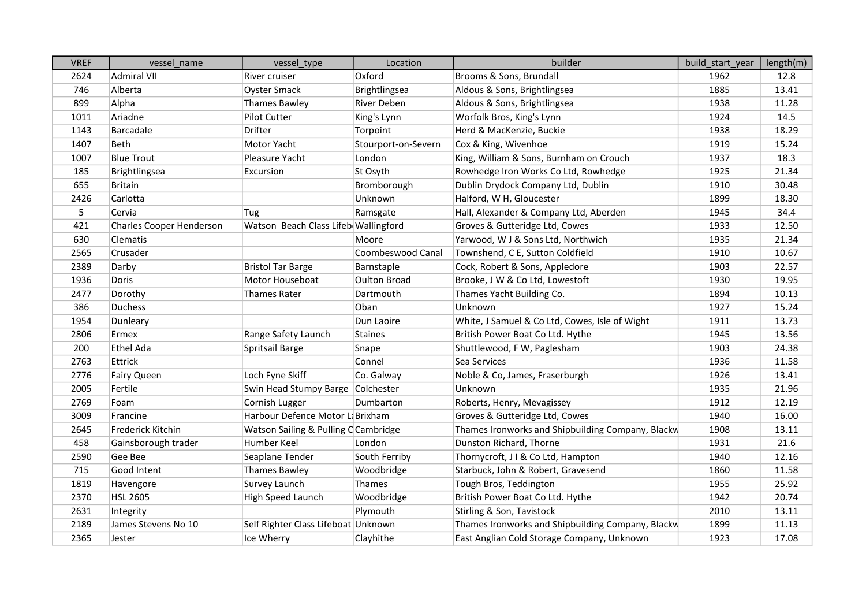| <b>VREF</b> | vessel name                     | vessel_type                          | Location            | builder                                           | build start year | length(m) |
|-------------|---------------------------------|--------------------------------------|---------------------|---------------------------------------------------|------------------|-----------|
| 2624        | <b>Admiral VII</b>              | River cruiser                        | Oxford              | Brooms & Sons, Brundall                           | 1962             | 12.8      |
| 746         | Alberta                         | <b>Oyster Smack</b>                  | Brightlingsea       | Aldous & Sons, Brightlingsea                      | 1885             | 13.41     |
| 899         | Alpha                           | Thames Bawley                        | <b>River Deben</b>  | Aldous & Sons, Brightlingsea                      | 1938             | 11.28     |
| 1011        | Ariadne                         | <b>Pilot Cutter</b>                  | King's Lynn         | Worfolk Bros, King's Lynn                         | 1924             | 14.5      |
| 1143        | Barcadale                       | Drifter                              | Torpoint            | Herd & MacKenzie, Buckie                          | 1938             | 18.29     |
| 1407        | Beth                            | Motor Yacht                          | Stourport-on-Severn | Cox & King, Wivenhoe                              | 1919             | 15.24     |
| 1007        | <b>Blue Trout</b>               | Pleasure Yacht                       | London              | King, William & Sons, Burnham on Crouch           | 1937             | 18.3      |
| 185         | Brightlingsea                   | Excursion                            | St Osyth            | Rowhedge Iron Works Co Ltd, Rowhedge              | 1925             | 21.34     |
| 655         | <b>Britain</b>                  |                                      | Bromborough         | Dublin Drydock Company Ltd, Dublin                | 1910             | 30.48     |
| 2426        | Carlotta                        |                                      | Unknown             | Halford, W H, Gloucester                          | 1899             | 18.30     |
| 5           | Cervia                          | Tug                                  | Ramsgate            | Hall, Alexander & Company Ltd, Aberden            | 1945             | 34.4      |
| 421         | <b>Charles Cooper Henderson</b> | Watson Beach Class Lifeb Wallingford |                     | Groves & Gutteridge Ltd, Cowes                    | 1933             | 12.50     |
| 630         | Clematis                        |                                      | Moore               | Yarwood, W J & Sons Ltd, Northwich                | 1935             | 21.34     |
| 2565        | Crusader                        |                                      | Coombeswood Canal   | Townshend, C E, Sutton Coldfield                  | 1910             | 10.67     |
| 2389        | Darby                           | <b>Bristol Tar Barge</b>             | Barnstaple          | Cock, Robert & Sons, Appledore                    | 1903             | 22.57     |
| 1936        | Doris                           | Motor Houseboat                      | <b>Oulton Broad</b> | Brooke, J W & Co Ltd, Lowestoft                   | 1930             | 19.95     |
| 2477        | Dorothy                         | Thames Rater                         | Dartmouth           | Thames Yacht Building Co.                         | 1894             | 10.13     |
| 386         | <b>Duchess</b>                  |                                      | Oban                | Unknown                                           | 1927             | 15.24     |
| 1954        | Dunleary                        |                                      | Dun Laoire          | White, J Samuel & Co Ltd, Cowes, Isle of Wight    | 1911             | 13.73     |
| 2806        | Ermex                           | Range Safety Launch                  | <b>Staines</b>      | British Power Boat Co Ltd. Hythe                  | 1945             | 13.56     |
| 200         | <b>Ethel Ada</b>                | Spritsail Barge                      | Snape               | Shuttlewood, F W, Paglesham                       | 1903             | 24.38     |
| 2763        | Ettrick                         |                                      | Connel              | Sea Services                                      | 1936             | 11.58     |
| 2776        | <b>Fairy Queen</b>              | Loch Fyne Skiff                      | Co. Galway          | Noble & Co, James, Fraserburgh                    | 1926             | 13.41     |
| 2005        | Fertile                         | Swin Head Stumpy Barge Colchester    |                     | Unknown                                           | 1935             | 21.96     |
| 2769        | Foam                            | Cornish Lugger                       | Dumbarton           | Roberts, Henry, Mevagissey                        | 1912             | 12.19     |
| 3009        | Francine                        | Harbour Defence Motor L Brixham      |                     | Groves & Gutteridge Ltd, Cowes                    | 1940             | 16.00     |
| 2645        | Frederick Kitchin               | Watson Sailing & Pulling C Cambridge |                     | Thames Ironworks and Shipbuilding Company, Blackw | 1908             | 13.11     |
| 458         | Gainsborough trader             | Humber Keel                          | London              | Dunston Richard, Thorne                           | 1931             | 21.6      |
| 2590        | Gee Bee                         | Seaplane Tender                      | South Ferriby       | Thornycroft, J I & Co Ltd, Hampton                | 1940             | 12.16     |
| 715         | Good Intent                     | Thames Bawley                        | Woodbridge          | Starbuck, John & Robert, Gravesend                | 1860             | 11.58     |
| 1819        | Havengore                       | Survey Launch                        | Thames              | Tough Bros, Teddington                            | 1955             | 25.92     |
| 2370        | <b>HSL 2605</b>                 | High Speed Launch                    | Woodbridge          | British Power Boat Co Ltd. Hythe                  | 1942             | 20.74     |
| 2631        | Integrity                       |                                      | Plymouth            | Stirling & Son, Tavistock                         | 2010             | 13.11     |
| 2189        | James Stevens No 10             | Self Righter Class Lifeboat Unknown  |                     | Thames Ironworks and Shipbuilding Company, Blackw | 1899             | 11.13     |
| 2365        | Jester                          | Ice Wherry                           | Clayhithe           | East Anglian Cold Storage Company, Unknown        | 1923             | 17.08     |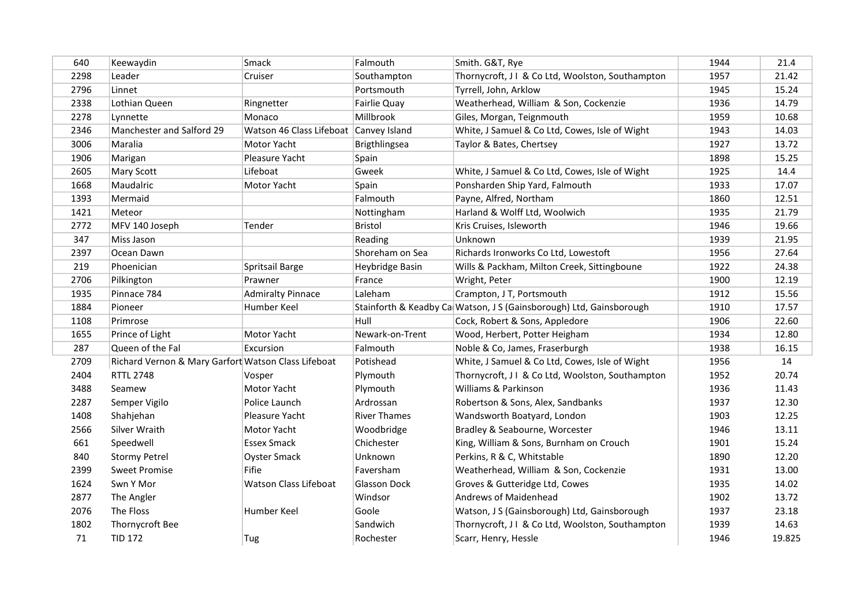| 640  | Keewaydin                                           | Smack                                  | Falmouth            | Smith. G&T, Rye                                                     | 1944 | 21.4   |
|------|-----------------------------------------------------|----------------------------------------|---------------------|---------------------------------------------------------------------|------|--------|
| 2298 | Leader                                              | Cruiser                                | Southampton         | Thornycroft, J I & Co Ltd, Woolston, Southampton                    | 1957 | 21.42  |
| 2796 | Linnet                                              |                                        | Portsmouth          | Tyrrell, John, Arklow                                               | 1945 | 15.24  |
| 2338 | Lothian Queen                                       | Ringnetter                             | <b>Fairlie Quay</b> | Weatherhead, William & Son, Cockenzie                               | 1936 | 14.79  |
| 2278 | Lynnette                                            | Monaco                                 | Millbrook           | Giles, Morgan, Teignmouth                                           | 1959 | 10.68  |
| 2346 | Manchester and Salford 29                           | Watson 46 Class Lifeboat Canvey Island |                     | White, J Samuel & Co Ltd, Cowes, Isle of Wight                      | 1943 | 14.03  |
| 3006 | Maralia                                             | Motor Yacht                            | Brigthlingsea       | Taylor & Bates, Chertsey                                            | 1927 | 13.72  |
| 1906 | Marigan                                             | Pleasure Yacht                         | Spain               |                                                                     | 1898 | 15.25  |
| 2605 | Mary Scott                                          | Lifeboat                               | Gweek               | White, J Samuel & Co Ltd, Cowes, Isle of Wight                      | 1925 | 14.4   |
| 1668 | Maudalric                                           | Motor Yacht                            | Spain               | Ponsharden Ship Yard, Falmouth                                      | 1933 | 17.07  |
| 1393 | Mermaid                                             |                                        | Falmouth            | Payne, Alfred, Northam                                              | 1860 | 12.51  |
| 1421 | Meteor                                              |                                        | Nottingham          | Harland & Wolff Ltd, Woolwich                                       | 1935 | 21.79  |
| 2772 | MFV 140 Joseph                                      | Tender                                 | Bristol             | Kris Cruises, Isleworth                                             | 1946 | 19.66  |
| 347  | Miss Jason                                          |                                        | Reading             | Unknown                                                             | 1939 | 21.95  |
| 2397 | Ocean Dawn                                          |                                        | Shoreham on Sea     | Richards Ironworks Co Ltd, Lowestoft                                | 1956 | 27.64  |
| 219  | Phoenician                                          | Spritsail Barge                        | Heybridge Basin     | Wills & Packham, Milton Creek, Sittingboune                         | 1922 | 24.38  |
| 2706 | Pilkington                                          | Prawner                                | France              | Wright, Peter                                                       | 1900 | 12.19  |
| 1935 | Pinnace 784                                         | <b>Admiralty Pinnace</b>               | Laleham             | Crampton, J T, Portsmouth                                           | 1912 | 15.56  |
| 1884 | Pioneer                                             | Humber Keel                            |                     | Stainforth & Keadby Ca Watson, J S (Gainsborough) Ltd, Gainsborough | 1910 | 17.57  |
| 1108 | Primrose                                            |                                        | Hull                | Cock, Robert & Sons, Appledore                                      | 1906 | 22.60  |
| 1655 | Prince of Light                                     | Motor Yacht                            | Newark-on-Trent     | Wood, Herbert, Potter Heigham                                       | 1934 | 12.80  |
| 287  | Queen of the Fal                                    | Excursion                              | Falmouth            | Noble & Co, James, Fraserburgh                                      | 1938 | 16.15  |
| 2709 | Richard Vernon & Mary Garfort Watson Class Lifeboat |                                        | Potishead           | White, J Samuel & Co Ltd, Cowes, Isle of Wight                      | 1956 | 14     |
| 2404 | <b>RTTL 2748</b>                                    | Vosper                                 | Plymouth            | Thornycroft, J I & Co Ltd, Woolston, Southampton                    | 1952 | 20.74  |
| 3488 | Seamew                                              | Motor Yacht                            | Plymouth            | Williams & Parkinson                                                | 1936 | 11.43  |
| 2287 | Semper Vigilo                                       | Police Launch                          | Ardrossan           | Robertson & Sons, Alex, Sandbanks                                   | 1937 | 12.30  |
| 1408 | Shahjehan                                           | Pleasure Yacht                         | <b>River Thames</b> | Wandsworth Boatyard, London                                         | 1903 | 12.25  |
| 2566 | Silver Wraith                                       | Motor Yacht                            | Woodbridge          | Bradley & Seabourne, Worcester                                      | 1946 | 13.11  |
| 661  | Speedwell                                           | <b>Essex Smack</b>                     | Chichester          | King, William & Sons, Burnham on Crouch                             | 1901 | 15.24  |
| 840  | <b>Stormy Petrel</b>                                | <b>Oyster Smack</b>                    | Unknown             | Perkins, R & C, Whitstable                                          | 1890 | 12.20  |
| 2399 | <b>Sweet Promise</b>                                | Fifie                                  | Faversham           | Weatherhead, William & Son, Cockenzie                               | 1931 | 13.00  |
| 1624 | Swn Y Mor                                           | Watson Class Lifeboat                  | <b>Glasson Dock</b> | Groves & Gutteridge Ltd, Cowes                                      | 1935 | 14.02  |
| 2877 | The Angler                                          |                                        | Windsor             | Andrews of Maidenhead                                               | 1902 | 13.72  |
| 2076 | The Floss                                           | Humber Keel                            | Goole               | Watson, J S (Gainsborough) Ltd, Gainsborough                        | 1937 | 23.18  |
| 1802 | Thornycroft Bee                                     |                                        | Sandwich            | Thornycroft, J I & Co Ltd, Woolston, Southampton                    | 1939 | 14.63  |
| 71   | <b>TID 172</b>                                      | Tug                                    | Rochester           | Scarr, Henry, Hessle                                                | 1946 | 19.825 |
|      |                                                     |                                        |                     |                                                                     |      |        |